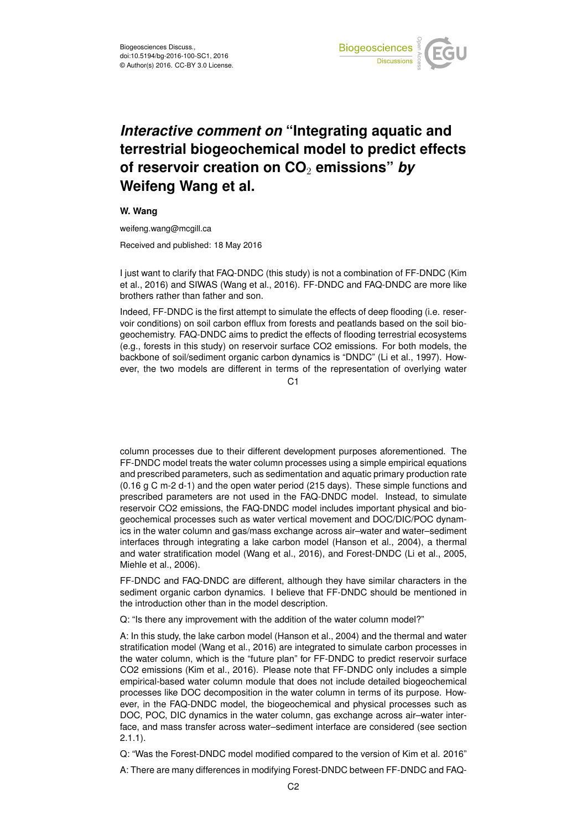

## *Interactive comment on* **"Integrating aquatic and terrestrial biogeochemical model to predict effects of reservoir creation on CO**<sup>2</sup> **emissions"** *by* **Weifeng Wang et al.**

**W. Wang**

weifeng.wang@mcgill.ca

Received and published: 18 May 2016

I just want to clarify that FAQ-DNDC (this study) is not a combination of FF-DNDC (Kim et al., 2016) and SIWAS (Wang et al., 2016). FF-DNDC and FAQ-DNDC are more like brothers rather than father and son.

Indeed, FF-DNDC is the first attempt to simulate the effects of deep flooding (i.e. reservoir conditions) on soil carbon efflux from forests and peatlands based on the soil biogeochemistry. FAQ-DNDC aims to predict the effects of flooding terrestrial ecosystems (e.g., forests in this study) on reservoir surface CO2 emissions. For both models, the backbone of soil/sediment organic carbon dynamics is "DNDC" (Li et al., 1997). However, the two models are different in terms of the representation of overlying water

C1

column processes due to their different development purposes aforementioned. The FF-DNDC model treats the water column processes using a simple empirical equations and prescribed parameters, such as sedimentation and aquatic primary production rate (0.16 g C m-2 d-1) and the open water period (215 days). These simple functions and prescribed parameters are not used in the FAQ-DNDC model. Instead, to simulate reservoir CO2 emissions, the FAQ-DNDC model includes important physical and biogeochemical processes such as water vertical movement and DOC/DIC/POC dynamics in the water column and gas/mass exchange across air–water and water–sediment interfaces through integrating a lake carbon model (Hanson et al., 2004), a thermal and water stratification model (Wang et al., 2016), and Forest-DNDC (Li et al., 2005, Miehle et al., 2006).

FF-DNDC and FAQ-DNDC are different, although they have similar characters in the sediment organic carbon dynamics. I believe that FF-DNDC should be mentioned in the introduction other than in the model description.

Q: "Is there any improvement with the addition of the water column model?"

A: In this study, the lake carbon model (Hanson et al., 2004) and the thermal and water stratification model (Wang et al., 2016) are integrated to simulate carbon processes in the water column, which is the "future plan" for FF-DNDC to predict reservoir surface CO2 emissions (Kim et al., 2016). Please note that FF-DNDC only includes a simple empirical-based water column module that does not include detailed biogeochemical processes like DOC decomposition in the water column in terms of its purpose. However, in the FAQ-DNDC model, the biogeochemical and physical processes such as DOC, POC, DIC dynamics in the water column, gas exchange across air–water interface, and mass transfer across water–sediment interface are considered (see section 2.1.1).

Q: "Was the Forest-DNDC model modified compared to the version of Kim et al. 2016"

A: There are many differences in modifying Forest-DNDC between FF-DNDC and FAQ-